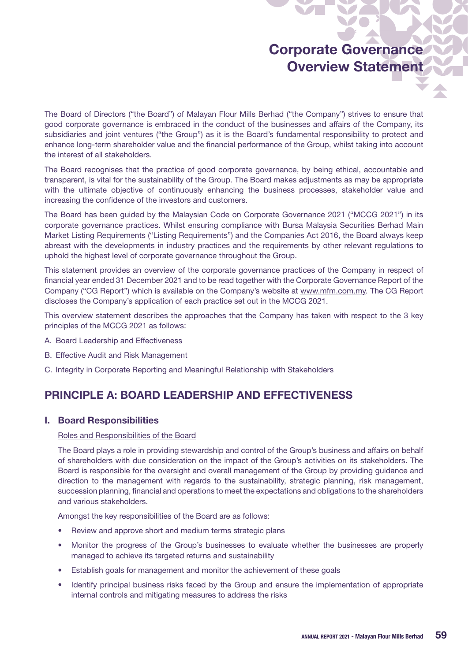# Corporate Governance Overview Statement

The Board of Directors ("the Board") of Malayan Flour Mills Berhad ("the Company") strives to ensure that good corporate governance is embraced in the conduct of the businesses and affairs of the Company, its subsidiaries and joint ventures ("the Group") as it is the Board's fundamental responsibility to protect and enhance long-term shareholder value and the financial performance of the Group, whilst taking into account the interest of all stakeholders.

The Board recognises that the practice of good corporate governance, by being ethical, accountable and transparent, is vital for the sustainability of the Group. The Board makes adjustments as may be appropriate with the ultimate objective of continuously enhancing the business processes, stakeholder value and increasing the confidence of the investors and customers.

The Board has been guided by the Malaysian Code on Corporate Governance 2021 ("MCCG 2021") in its corporate governance practices. Whilst ensuring compliance with Bursa Malaysia Securities Berhad Main Market Listing Requirements ("Listing Requirements") and the Companies Act 2016, the Board always keep abreast with the developments in industry practices and the requirements by other relevant regulations to uphold the highest level of corporate governance throughout the Group.

This statement provides an overview of the corporate governance practices of the Company in respect of financial year ended 31 December 2021 and to be read together with the Corporate Governance Report of the Company ("CG Report") which is available on the Company's website at www.mfm.com.my. The CG Report discloses the Company's application of each practice set out in the MCCG 2021.

This overview statement describes the approaches that the Company has taken with respect to the 3 key principles of the MCCG 2021 as follows:

- A. Board Leadership and Effectiveness
- B. Effective Audit and Risk Management
- C. Integrity in Corporate Reporting and Meaningful Relationship with Stakeholders

## PRINCIPLE A: BOARD LEADERSHIP AND EFFECTIVENESS

### I. Board Responsibilities

### Roles and Responsibilities of the Board

The Board plays a role in providing stewardship and control of the Group's business and affairs on behalf of shareholders with due consideration on the impact of the Group's activities on its stakeholders. The Board is responsible for the oversight and overall management of the Group by providing guidance and direction to the management with regards to the sustainability, strategic planning, risk management, succession planning, financial and operations to meet the expectations and obligations to the shareholders and various stakeholders.

Amongst the key responsibilities of the Board are as follows:

- Review and approve short and medium terms strategic plans
- Monitor the progress of the Group's businesses to evaluate whether the businesses are properly managed to achieve its targeted returns and sustainability
- Establish goals for management and monitor the achievement of these goals
- Identify principal business risks faced by the Group and ensure the implementation of appropriate internal controls and mitigating measures to address the risks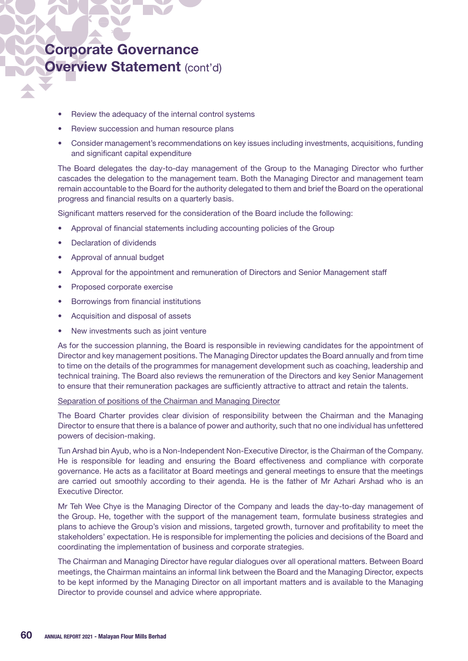- Review the adequacy of the internal control systems
- Review succession and human resource plans
- Consider management's recommendations on key issues including investments, acquisitions, funding and significant capital expenditure

The Board delegates the day-to-day management of the Group to the Managing Director who further cascades the delegation to the management team. Both the Managing Director and management team remain accountable to the Board for the authority delegated to them and brief the Board on the operational progress and financial results on a quarterly basis.

Significant matters reserved for the consideration of the Board include the following:

- Approval of financial statements including accounting policies of the Group
- Declaration of dividends
- Approval of annual budget
- Approval for the appointment and remuneration of Directors and Senior Management staff
- • Proposed corporate exercise
- Borrowings from financial institutions
- Acquisition and disposal of assets
- New investments such as joint venture

As for the succession planning, the Board is responsible in reviewing candidates for the appointment of Director and key management positions. The Managing Director updates the Board annually and from time to time on the details of the programmes for management development such as coaching, leadership and technical training. The Board also reviews the remuneration of the Directors and key Senior Management to ensure that their remuneration packages are sufficiently attractive to attract and retain the talents.

### Separation of positions of the Chairman and Managing Director

The Board Charter provides clear division of responsibility between the Chairman and the Managing Director to ensure that there is a balance of power and authority, such that no one individual has unfettered powers of decision-making.

Tun Arshad bin Ayub, who is a Non-Independent Non-Executive Director, is the Chairman of the Company. He is responsible for leading and ensuring the Board effectiveness and compliance with corporate governance. He acts as a facilitator at Board meetings and general meetings to ensure that the meetings are carried out smoothly according to their agenda. He is the father of Mr Azhari Arshad who is an Executive Director.

Mr Teh Wee Chye is the Managing Director of the Company and leads the day-to-day management of the Group. He, together with the support of the management team, formulate business strategies and plans to achieve the Group's vision and missions, targeted growth, turnover and profitability to meet the stakeholders' expectation. He is responsible for implementing the policies and decisions of the Board and coordinating the implementation of business and corporate strategies.

The Chairman and Managing Director have regular dialogues over all operational matters. Between Board meetings, the Chairman maintains an informal link between the Board and the Managing Director, expects to be kept informed by the Managing Director on all important matters and is available to the Managing Director to provide counsel and advice where appropriate.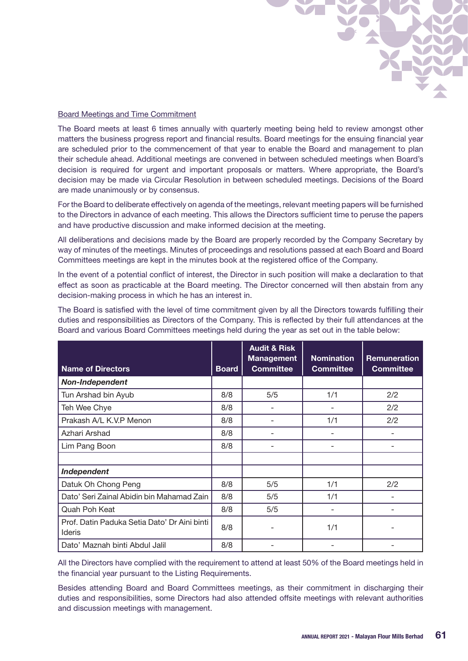

### Board Meetings and Time Commitment

The Board meets at least 6 times annually with quarterly meeting being held to review amongst other matters the business progress report and financial results. Board meetings for the ensuing financial year are scheduled prior to the commencement of that year to enable the Board and management to plan their schedule ahead. Additional meetings are convened in between scheduled meetings when Board's decision is required for urgent and important proposals or matters. Where appropriate, the Board's decision may be made via Circular Resolution in between scheduled meetings. Decisions of the Board are made unanimously or by consensus.

For the Board to deliberate effectively on agenda of the meetings, relevant meeting papers will be furnished to the Directors in advance of each meeting. This allows the Directors sufficient time to peruse the papers and have productive discussion and make informed decision at the meeting.

All deliberations and decisions made by the Board are properly recorded by the Company Secretary by way of minutes of the meetings. Minutes of proceedings and resolutions passed at each Board and Board Committees meetings are kept in the minutes book at the registered office of the Company.

In the event of a potential conflict of interest, the Director in such position will make a declaration to that effect as soon as practicable at the Board meeting. The Director concerned will then abstain from any decision-making process in which he has an interest in.

The Board is satisfied with the level of time commitment given by all the Directors towards fulfilling their duties and responsibilities as Directors of the Company. This is reflected by their full attendances at the Board and various Board Committees meetings held during the year as set out in the table below:

| <b>Name of Directors</b>                                      | <b>Board</b> | <b>Audit &amp; Risk</b><br><b>Management</b><br><b>Committee</b> | <b>Nomination</b><br><b>Committee</b> | <b>Remuneration</b><br><b>Committee</b> |
|---------------------------------------------------------------|--------------|------------------------------------------------------------------|---------------------------------------|-----------------------------------------|
| <b>Non-Independent</b>                                        |              |                                                                  |                                       |                                         |
| Tun Arshad bin Ayub                                           | 8/8          | 5/5                                                              | 1/1                                   | 2/2                                     |
| Teh Wee Chye                                                  | 8/8          |                                                                  |                                       | 2/2                                     |
| Prakash A/L K.V.P Menon                                       | 8/8          |                                                                  | 1/1                                   | 2/2                                     |
| Azhari Arshad                                                 | 8/8          |                                                                  |                                       |                                         |
| Lim Pang Boon                                                 | 8/8          |                                                                  |                                       |                                         |
|                                                               |              |                                                                  |                                       |                                         |
| Independent                                                   |              |                                                                  |                                       |                                         |
| Datuk Oh Chong Peng                                           | 8/8          | 5/5                                                              | 1/1                                   | 2/2                                     |
| Dato' Seri Zainal Abidin bin Mahamad Zain                     | 8/8          | 5/5                                                              | 1/1                                   |                                         |
| Quah Poh Keat                                                 | 8/8          | 5/5                                                              |                                       |                                         |
| Prof. Datin Paduka Setia Dato' Dr Aini binti<br><b>Ideris</b> | 8/8          |                                                                  | 1/1                                   |                                         |
| Dato' Maznah binti Abdul Jalil                                | 8/8          |                                                                  |                                       |                                         |

All the Directors have complied with the requirement to attend at least 50% of the Board meetings held in the financial year pursuant to the Listing Requirements.

Besides attending Board and Board Committees meetings, as their commitment in discharging their duties and responsibilities, some Directors had also attended offsite meetings with relevant authorities and discussion meetings with management.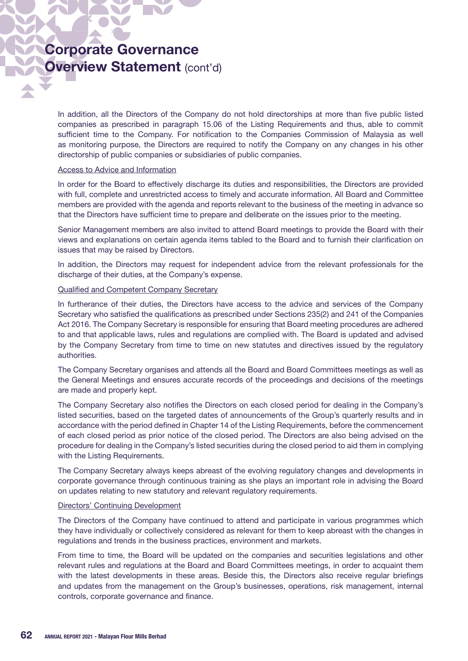In addition, all the Directors of the Company do not hold directorships at more than five public listed companies as prescribed in paragraph 15.06 of the Listing Requirements and thus, able to commit sufficient time to the Company. For notification to the Companies Commission of Malaysia as well as monitoring purpose, the Directors are required to notify the Company on any changes in his other directorship of public companies or subsidiaries of public companies.

### Access to Advice and Information

In order for the Board to effectively discharge its duties and responsibilities, the Directors are provided with full, complete and unrestricted access to timely and accurate information. All Board and Committee members are provided with the agenda and reports relevant to the business of the meeting in advance so that the Directors have sufficient time to prepare and deliberate on the issues prior to the meeting.

Senior Management members are also invited to attend Board meetings to provide the Board with their views and explanations on certain agenda items tabled to the Board and to furnish their clarification on issues that may be raised by Directors.

In addition, the Directors may request for independent advice from the relevant professionals for the discharge of their duties, at the Company's expense.

#### Qualified and Competent Company Secretary

In furtherance of their duties, the Directors have access to the advice and services of the Company Secretary who satisfied the qualifications as prescribed under Sections 235(2) and 241 of the Companies Act 2016. The Company Secretary is responsible for ensuring that Board meeting procedures are adhered to and that applicable laws, rules and regulations are complied with. The Board is updated and advised by the Company Secretary from time to time on new statutes and directives issued by the regulatory authorities.

The Company Secretary organises and attends all the Board and Board Committees meetings as well as the General Meetings and ensures accurate records of the proceedings and decisions of the meetings are made and properly kept.

The Company Secretary also notifies the Directors on each closed period for dealing in the Company's listed securities, based on the targeted dates of announcements of the Group's quarterly results and in accordance with the period defined in Chapter 14 of the Listing Requirements, before the commencement of each closed period as prior notice of the closed period. The Directors are also being advised on the procedure for dealing in the Company's listed securities during the closed period to aid them in complying with the Listing Requirements.

The Company Secretary always keeps abreast of the evolving regulatory changes and developments in corporate governance through continuous training as she plays an important role in advising the Board on updates relating to new statutory and relevant regulatory requirements.

#### Directors' Continuing Development

The Directors of the Company have continued to attend and participate in various programmes which they have individually or collectively considered as relevant for them to keep abreast with the changes in regulations and trends in the business practices, environment and markets.

From time to time, the Board will be updated on the companies and securities legislations and other relevant rules and regulations at the Board and Board Committees meetings, in order to acquaint them with the latest developments in these areas. Beside this, the Directors also receive regular briefings and updates from the management on the Group's businesses, operations, risk management, internal controls, corporate governance and finance.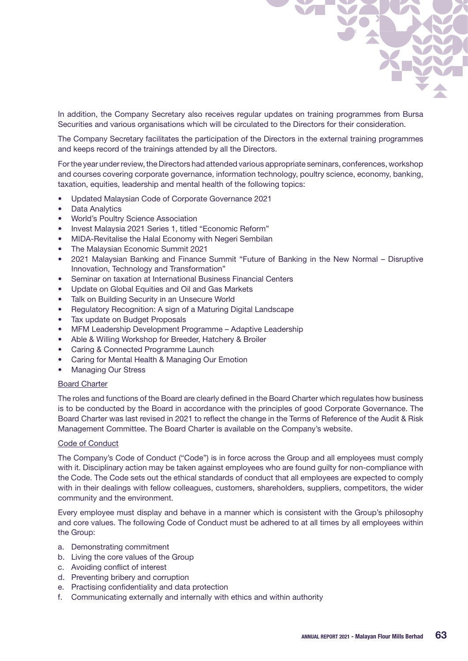

In addition, the Company Secretary also receives regular updates on training programmes from Bursa Securities and various organisations which will be circulated to the Directors for their consideration.

The Company Secretary facilitates the participation of the Directors in the external training programmes and keeps record of the trainings attended by all the Directors.

For the year under review, the Directors had attended various appropriate seminars, conferences, workshop and courses covering corporate governance, information technology, poultry science, economy, banking, taxation, equities, leadership and mental health of the following topics:

- Updated Malaysian Code of Corporate Governance 2021
- Data Analytics
- **World's Poultry Science Association**
- Invest Malaysia 2021 Series 1, titled "Economic Reform"
- MIDA-Revitalise the Halal Economy with Negeri Sembilan
- The Malaysian Economic Summit 2021
- 2021 Malaysian Banking and Finance Summit "Future of Banking in the New Normal Disruptive Innovation, Technology and Transformation"
- Seminar on taxation at International Business Financial Centers
- Update on Global Equities and Oil and Gas Markets
- Talk on Building Security in an Unsecure World
- Regulatory Recognition: A sign of a Maturing Digital Landscape
- Tax update on Budget Proposals
- MFM Leadership Development Programme Adaptive Leadership
- Able & Willing Workshop for Breeder, Hatchery & Broiler
- • Caring & Connected Programme Launch
- Caring for Mental Health & Managing Our Emotion
- **Managing Our Stress**

### Board Charter

The roles and functions of the Board are clearly defined in the Board Charter which regulates how business is to be conducted by the Board in accordance with the principles of good Corporate Governance. The Board Charter was last revised in 2021 to reflect the change in the Terms of Reference of the Audit & Risk Management Committee. The Board Charter is available on the Company's website.

### Code of Conduct

The Company's Code of Conduct ("Code") is in force across the Group and all employees must comply with it. Disciplinary action may be taken against employees who are found guilty for non-compliance with the Code. The Code sets out the ethical standards of conduct that all employees are expected to comply with in their dealings with fellow colleagues, customers, shareholders, suppliers, competitors, the wider community and the environment.

Every employee must display and behave in a manner which is consistent with the Group's philosophy and core values. The following Code of Conduct must be adhered to at all times by all employees within the Group:

- a. Demonstrating commitment
- b. Living the core values of the Group
- c. Avoiding conflict of interest
- d. Preventing bribery and corruption
- e. Practising confidentiality and data protection
- f. Communicating externally and internally with ethics and within authority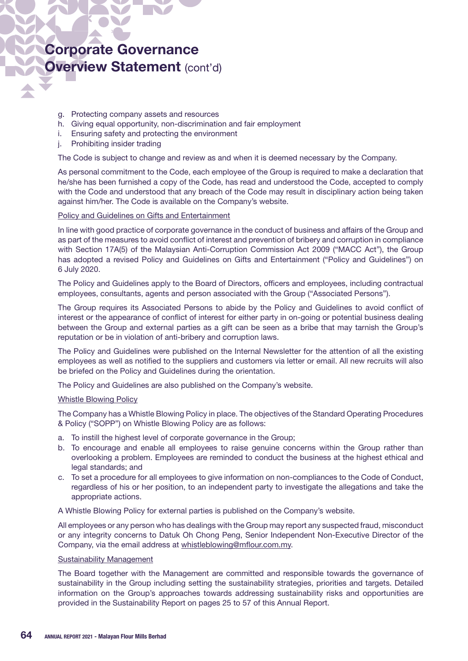- g. Protecting company assets and resources
- h. Giving equal opportunity, non-discrimination and fair employment
- i. Ensuring safety and protecting the environment
- j. Prohibiting insider trading

The Code is subject to change and review as and when it is deemed necessary by the Company.

As personal commitment to the Code, each employee of the Group is required to make a declaration that he/she has been furnished a copy of the Code, has read and understood the Code, accepted to comply with the Code and understood that any breach of the Code may result in disciplinary action being taken against him/her. The Code is available on the Company's website.

### Policy and Guidelines on Gifts and Entertainment

In line with good practice of corporate governance in the conduct of business and affairs of the Group and as part of the measures to avoid conflict of interest and prevention of bribery and corruption in compliance with Section 17A(5) of the Malaysian Anti-Corruption Commission Act 2009 ("MACC Act"), the Group has adopted a revised Policy and Guidelines on Gifts and Entertainment ("Policy and Guidelines") on 6 July 2020.

The Policy and Guidelines apply to the Board of Directors, officers and employees, including contractual employees, consultants, agents and person associated with the Group ("Associated Persons").

The Group requires its Associated Persons to abide by the Policy and Guidelines to avoid conflict of interest or the appearance of conflict of interest for either party in on-going or potential business dealing between the Group and external parties as a gift can be seen as a bribe that may tarnish the Group's reputation or be in violation of anti-bribery and corruption laws.

The Policy and Guidelines were published on the Internal Newsletter for the attention of all the existing employees as well as notified to the suppliers and customers via letter or email. All new recruits will also be briefed on the Policy and Guidelines during the orientation.

The Policy and Guidelines are also published on the Company's website.

#### Whistle Blowing Policy

The Company has a Whistle Blowing Policy in place. The objectives of the Standard Operating Procedures & Policy ("SOPP") on Whistle Blowing Policy are as follows:

- a. To instill the highest level of corporate governance in the Group;
- b. To encourage and enable all employees to raise genuine concerns within the Group rather than overlooking a problem. Employees are reminded to conduct the business at the highest ethical and legal standards; and
- c. To set a procedure for all employees to give information on non-compliances to the Code of Conduct, regardless of his or her position, to an independent party to investigate the allegations and take the appropriate actions.

A Whistle Blowing Policy for external parties is published on the Company's website.

All employees or any person who has dealings with the Group may report any suspected fraud, misconduct or any integrity concerns to Datuk Oh Chong Peng, Senior Independent Non-Executive Director of the Company, via the email address at whistleblowing@mflour.com.my.

#### **Sustainability Management**

The Board together with the Management are committed and responsible towards the governance of sustainability in the Group including setting the sustainability strategies, priorities and targets. Detailed information on the Group's approaches towards addressing sustainability risks and opportunities are provided in the Sustainability Report on pages 25 to 57 of this Annual Report.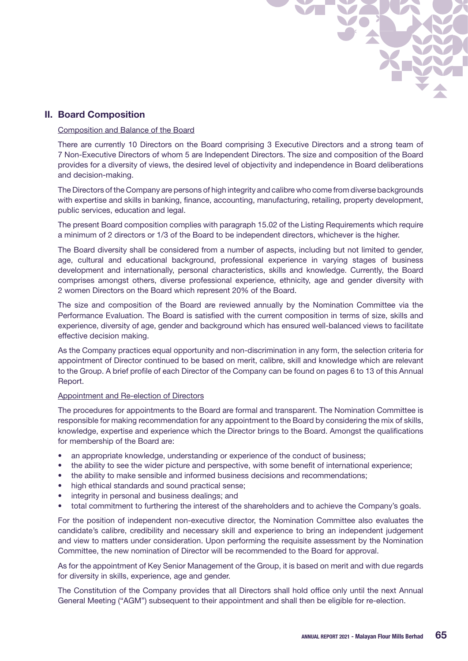

### II. Board Composition

### Composition and Balance of the Board

There are currently 10 Directors on the Board comprising 3 Executive Directors and a strong team of 7 Non-Executive Directors of whom 5 are Independent Directors. The size and composition of the Board provides for a diversity of views, the desired level of objectivity and independence in Board deliberations and decision-making.

The Directors of the Company are persons of high integrity and calibre who come from diverse backgrounds with expertise and skills in banking, finance, accounting, manufacturing, retailing, property development, public services, education and legal.

The present Board composition complies with paragraph 15.02 of the Listing Requirements which require a minimum of 2 directors or 1/3 of the Board to be independent directors, whichever is the higher.

The Board diversity shall be considered from a number of aspects, including but not limited to gender, age, cultural and educational background, professional experience in varying stages of business development and internationally, personal characteristics, skills and knowledge. Currently, the Board comprises amongst others, diverse professional experience, ethnicity, age and gender diversity with 2 women Directors on the Board which represent 20% of the Board.

The size and composition of the Board are reviewed annually by the Nomination Committee via the Performance Evaluation. The Board is satisfied with the current composition in terms of size, skills and experience, diversity of age, gender and background which has ensured well-balanced views to facilitate effective decision making.

As the Company practices equal opportunity and non-discrimination in any form, the selection criteria for appointment of Director continued to be based on merit, calibre, skill and knowledge which are relevant to the Group. A brief profile of each Director of the Company can be found on pages 6 to 13 of this Annual Report.

### Appointment and Re-election of Directors

The procedures for appointments to the Board are formal and transparent. The Nomination Committee is responsible for making recommendation for any appointment to the Board by considering the mix of skills, knowledge, expertise and experience which the Director brings to the Board. Amongst the qualifications for membership of the Board are:

- an appropriate knowledge, understanding or experience of the conduct of business;
- the ability to see the wider picture and perspective, with some benefit of international experience;
- the ability to make sensible and informed business decisions and recommendations;
- high ethical standards and sound practical sense;
- integrity in personal and business dealings; and
- total commitment to furthering the interest of the shareholders and to achieve the Company's goals.

For the position of independent non-executive director, the Nomination Committee also evaluates the candidate's calibre, credibility and necessary skill and experience to bring an independent judgement and view to matters under consideration. Upon performing the requisite assessment by the Nomination Committee, the new nomination of Director will be recommended to the Board for approval.

As for the appointment of Key Senior Management of the Group, it is based on merit and with due regards for diversity in skills, experience, age and gender.

The Constitution of the Company provides that all Directors shall hold office only until the next Annual General Meeting ("AGM") subsequent to their appointment and shall then be eligible for re-election.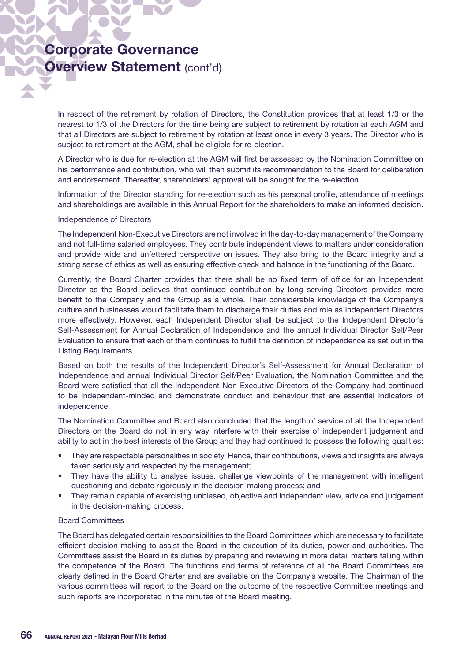In respect of the retirement by rotation of Directors, the Constitution provides that at least 1/3 or the nearest to 1/3 of the Directors for the time being are subject to retirement by rotation at each AGM and that all Directors are subject to retirement by rotation at least once in every 3 years. The Director who is subject to retirement at the AGM, shall be eligible for re-election.

A Director who is due for re-election at the AGM will first be assessed by the Nomination Committee on his performance and contribution, who will then submit its recommendation to the Board for deliberation and endorsement. Thereafter, shareholders' approval will be sought for the re-election.

Information of the Director standing for re-election such as his personal profile, attendance of meetings and shareholdings are available in this Annual Report for the shareholders to make an informed decision.

### Independence of Directors

The Independent Non-Executive Directors are not involved in the day-to-day management of the Company and not full-time salaried employees. They contribute independent views to matters under consideration and provide wide and unfettered perspective on issues. They also bring to the Board integrity and a strong sense of ethics as well as ensuring effective check and balance in the functioning of the Board.

Currently, the Board Charter provides that there shall be no fixed term of office for an Independent Director as the Board believes that continued contribution by long serving Directors provides more benefit to the Company and the Group as a whole. Their considerable knowledge of the Company's culture and businesses would facilitate them to discharge their duties and role as Independent Directors more effectively. However, each Independent Director shall be subject to the Independent Director's Self-Assessment for Annual Declaration of Independence and the annual Individual Director Self/Peer Evaluation to ensure that each of them continues to fulfill the definition of independence as set out in the Listing Requirements.

Based on both the results of the Independent Director's Self-Assessment for Annual Declaration of Independence and annual Individual Director Self/Peer Evaluation, the Nomination Committee and the Board were satisfied that all the Independent Non-Executive Directors of the Company had continued to be independent-minded and demonstrate conduct and behaviour that are essential indicators of independence.

The Nomination Committee and Board also concluded that the length of service of all the Independent Directors on the Board do not in any way interfere with their exercise of independent judgement and ability to act in the best interests of the Group and they had continued to possess the following qualities:

- They are respectable personalities in society. Hence, their contributions, views and insights are always taken seriously and respected by the management;
- They have the ability to analyse issues, challenge viewpoints of the management with intelligent questioning and debate rigorously in the decision-making process; and
- They remain capable of exercising unbiased, objective and independent view, advice and judgement in the decision-making process.

### Board Committees

The Board has delegated certain responsibilities to the Board Committees which are necessary to facilitate efficient decision-making to assist the Board in the execution of its duties, power and authorities. The Committees assist the Board in its duties by preparing and reviewing in more detail matters falling within the competence of the Board. The functions and terms of reference of all the Board Committees are clearly defined in the Board Charter and are available on the Company's website. The Chairman of the various committees will report to the Board on the outcome of the respective Committee meetings and such reports are incorporated in the minutes of the Board meeting.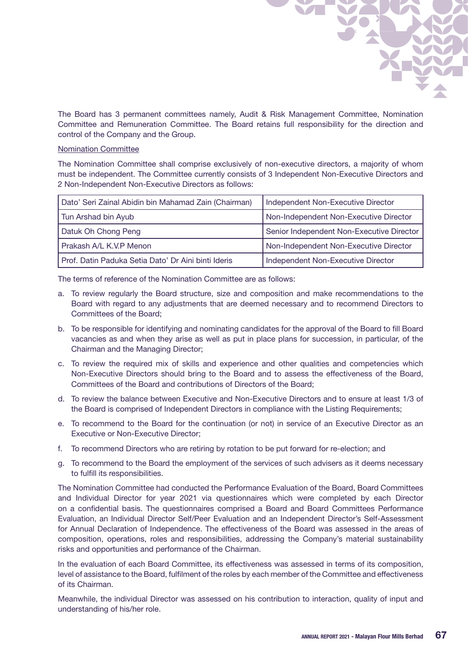

The Board has 3 permanent committees namely, Audit & Risk Management Committee, Nomination Committee and Remuneration Committee. The Board retains full responsibility for the direction and control of the Company and the Group.

### Nomination Committee

The Nomination Committee shall comprise exclusively of non-executive directors, a majority of whom must be independent. The Committee currently consists of 3 Independent Non-Executive Directors and 2 Non-Independent Non-Executive Directors as follows:

| Dato' Seri Zainal Abidin bin Mahamad Zain (Chairman) | Independent Non-Executive Director        |
|------------------------------------------------------|-------------------------------------------|
| Tun Arshad bin Ayub                                  | Non-Independent Non-Executive Director    |
| Datuk Oh Chong Peng                                  | Senior Independent Non-Executive Director |
| Prakash A/L K.V.P Menon                              | Non-Independent Non-Executive Director    |
| Prof. Datin Paduka Setia Dato' Dr Aini binti Ideris  | Independent Non-Executive Director        |

The terms of reference of the Nomination Committee are as follows:

- a. To review regularly the Board structure, size and composition and make recommendations to the Board with regard to any adjustments that are deemed necessary and to recommend Directors to Committees of the Board;
- b. To be responsible for identifying and nominating candidates for the approval of the Board to fill Board vacancies as and when they arise as well as put in place plans for succession, in particular, of the Chairman and the Managing Director;
- c. To review the required mix of skills and experience and other qualities and competencies which Non-Executive Directors should bring to the Board and to assess the effectiveness of the Board, Committees of the Board and contributions of Directors of the Board;
- d. To review the balance between Executive and Non-Executive Directors and to ensure at least 1/3 of the Board is comprised of Independent Directors in compliance with the Listing Requirements;
- e. To recommend to the Board for the continuation (or not) in service of an Executive Director as an Executive or Non-Executive Director;
- f. To recommend Directors who are retiring by rotation to be put forward for re-election; and
- g. To recommend to the Board the employment of the services of such advisers as it deems necessary to fulfill its responsibilities.

The Nomination Committee had conducted the Performance Evaluation of the Board, Board Committees and Individual Director for year 2021 via questionnaires which were completed by each Director on a confidential basis. The questionnaires comprised a Board and Board Committees Performance Evaluation, an Individual Director Self/Peer Evaluation and an Independent Director's Self-Assessment for Annual Declaration of Independence. The effectiveness of the Board was assessed in the areas of composition, operations, roles and responsibilities, addressing the Company's material sustainability risks and opportunities and performance of the Chairman.

In the evaluation of each Board Committee, its effectiveness was assessed in terms of its composition, level of assistance to the Board, fulfilment of the roles by each member of the Committee and effectiveness of its Chairman.

Meanwhile, the individual Director was assessed on his contribution to interaction, quality of input and understanding of his/her role.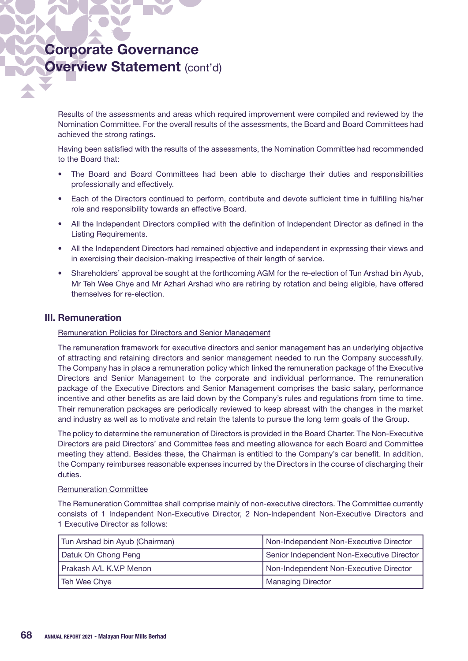Results of the assessments and areas which required improvement were compiled and reviewed by the Nomination Committee. For the overall results of the assessments, the Board and Board Committees had achieved the strong ratings.

Having been satisfied with the results of the assessments, the Nomination Committee had recommended to the Board that:

- The Board and Board Committees had been able to discharge their duties and responsibilities professionally and effectively.
- Each of the Directors continued to perform, contribute and devote sufficient time in fulfilling his/her role and responsibility towards an effective Board.
- All the Independent Directors complied with the definition of Independent Director as defined in the Listing Requirements.
- All the Independent Directors had remained objective and independent in expressing their views and in exercising their decision-making irrespective of their length of service.
- Shareholders' approval be sought at the forthcoming AGM for the re-election of Tun Arshad bin Ayub, Mr Teh Wee Chye and Mr Azhari Arshad who are retiring by rotation and being eligible, have offered themselves for re-election.

### III. Remuneration

### Remuneration Policies for Directors and Senior Management

The remuneration framework for executive directors and senior management has an underlying objective of attracting and retaining directors and senior management needed to run the Company successfully. The Company has in place a remuneration policy which linked the remuneration package of the Executive Directors and Senior Management to the corporate and individual performance. The remuneration package of the Executive Directors and Senior Management comprises the basic salary, performance incentive and other benefits as are laid down by the Company's rules and regulations from time to time. Their remuneration packages are periodically reviewed to keep abreast with the changes in the market and industry as well as to motivate and retain the talents to pursue the long term goals of the Group.

The policy to determine the remuneration of Directors is provided in the Board Charter. The Non-Executive Directors are paid Directors' and Committee fees and meeting allowance for each Board and Committee meeting they attend. Besides these, the Chairman is entitled to the Company's car benefit. In addition, the Company reimburses reasonable expenses incurred by the Directors in the course of discharging their duties.

### Remuneration Committee

The Remuneration Committee shall comprise mainly of non-executive directors. The Committee currently consists of 1 Independent Non-Executive Director, 2 Non-Independent Non-Executive Directors and 1 Executive Director as follows:

| Tun Arshad bin Ayub (Chairman) | Non-Independent Non-Executive Director    |
|--------------------------------|-------------------------------------------|
| <b>Datuk Oh Chong Peng</b>     | Senior Independent Non-Executive Director |
| Prakash A/L K.V.P Menon        | Non-Independent Non-Executive Director    |
| Teh Wee Chye                   | <b>Managing Director</b>                  |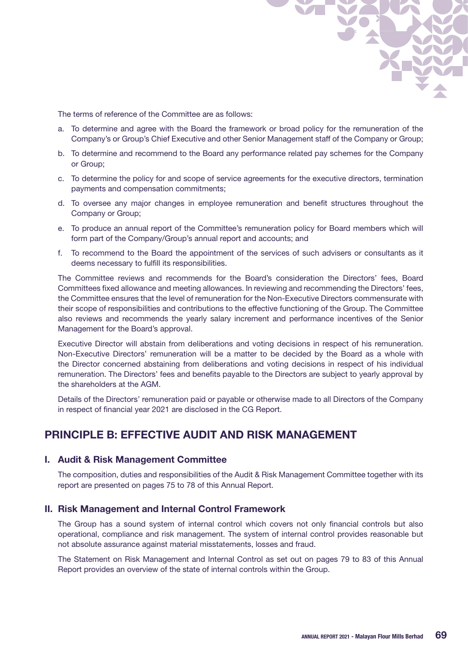The terms of reference of the Committee are as follows:

- a. To determine and agree with the Board the framework or broad policy for the remuneration of the Company's or Group's Chief Executive and other Senior Management staff of the Company or Group;
- b. To determine and recommend to the Board any performance related pay schemes for the Company or Group;
- c. To determine the policy for and scope of service agreements for the executive directors, termination payments and compensation commitments;
- d. To oversee any major changes in employee remuneration and benefit structures throughout the Company or Group;
- e. To produce an annual report of the Committee's remuneration policy for Board members which will form part of the Company/Group's annual report and accounts; and
- f. To recommend to the Board the appointment of the services of such advisers or consultants as it deems necessary to fulfill its responsibilities.

The Committee reviews and recommends for the Board's consideration the Directors' fees, Board Committees fixed allowance and meeting allowances. In reviewing and recommending the Directors' fees, the Committee ensures that the level of remuneration for the Non-Executive Directors commensurate with their scope of responsibilities and contributions to the effective functioning of the Group. The Committee also reviews and recommends the yearly salary increment and performance incentives of the Senior Management for the Board's approval.

Executive Director will abstain from deliberations and voting decisions in respect of his remuneration. Non-Executive Directors' remuneration will be a matter to be decided by the Board as a whole with the Director concerned abstaining from deliberations and voting decisions in respect of his individual remuneration. The Directors' fees and benefits payable to the Directors are subject to yearly approval by the shareholders at the AGM.

Details of the Directors' remuneration paid or payable or otherwise made to all Directors of the Company in respect of financial year 2021 are disclosed in the CG Report.

## PRINCIPLE B: EFFECTIVE AUDIT AND RISK MANAGEMENT

### I. Audit & Risk Management Committee

The composition, duties and responsibilities of the Audit & Risk Management Committee together with its report are presented on pages 75 to 78 of this Annual Report.

### II. Risk Management and Internal Control Framework

The Group has a sound system of internal control which covers not only financial controls but also operational, compliance and risk management. The system of internal control provides reasonable but not absolute assurance against material misstatements, losses and fraud.

The Statement on Risk Management and Internal Control as set out on pages 79 to 83 of this Annual Report provides an overview of the state of internal controls within the Group.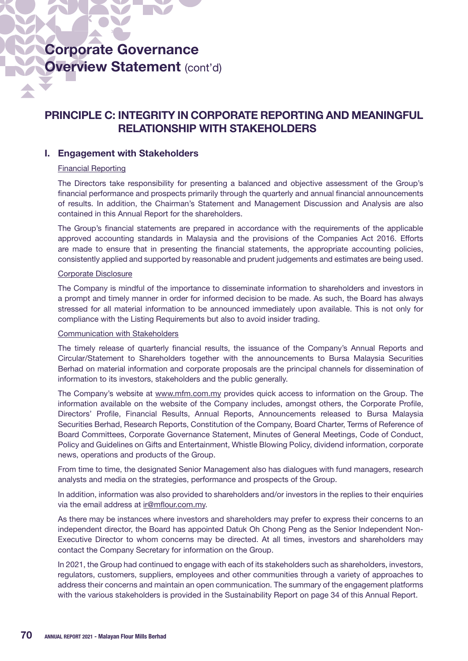## PRINCIPLE C: INTEGRITY IN CORPORATE REPORTING AND MEANINGFUL RELATIONSHIP WITH STAKEHOLDERS

### I. Engagement with Stakeholders

### Financial Reporting

The Directors take responsibility for presenting a balanced and objective assessment of the Group's financial performance and prospects primarily through the quarterly and annual financial announcements of results. In addition, the Chairman's Statement and Management Discussion and Analysis are also contained in this Annual Report for the shareholders.

The Group's financial statements are prepared in accordance with the requirements of the applicable approved accounting standards in Malaysia and the provisions of the Companies Act 2016. Efforts are made to ensure that in presenting the financial statements, the appropriate accounting policies, consistently applied and supported by reasonable and prudent judgements and estimates are being used.

### Corporate Disclosure

The Company is mindful of the importance to disseminate information to shareholders and investors in a prompt and timely manner in order for informed decision to be made. As such, the Board has always stressed for all material information to be announced immediately upon available. This is not only for compliance with the Listing Requirements but also to avoid insider trading.

### Communication with Stakeholders

The timely release of quarterly financial results, the issuance of the Company's Annual Reports and Circular/Statement to Shareholders together with the announcements to Bursa Malaysia Securities Berhad on material information and corporate proposals are the principal channels for dissemination of information to its investors, stakeholders and the public generally.

The Company's website at www.mfm.com.my provides quick access to information on the Group. The information available on the website of the Company includes, amongst others, the Corporate Profile, Directors' Profile, Financial Results, Annual Reports, Announcements released to Bursa Malaysia Securities Berhad, Research Reports, Constitution of the Company, Board Charter, Terms of Reference of Board Committees, Corporate Governance Statement, Minutes of General Meetings, Code of Conduct, Policy and Guidelines on Gifts and Entertainment, Whistle Blowing Policy, dividend information, corporate news, operations and products of the Group.

From time to time, the designated Senior Management also has dialogues with fund managers, research analysts and media on the strategies, performance and prospects of the Group.

In addition, information was also provided to shareholders and/or investors in the replies to their enquiries via the email address at ir@mflour.com.my.

As there may be instances where investors and shareholders may prefer to express their concerns to an independent director, the Board has appointed Datuk Oh Chong Peng as the Senior Independent Non-Executive Director to whom concerns may be directed. At all times, investors and shareholders may contact the Company Secretary for information on the Group.

In 2021, the Group had continued to engage with each of its stakeholders such as shareholders, investors, regulators, customers, suppliers, employees and other communities through a variety of approaches to address their concerns and maintain an open communication. The summary of the engagement platforms with the various stakeholders is provided in the Sustainability Report on page 34 of this Annual Report.